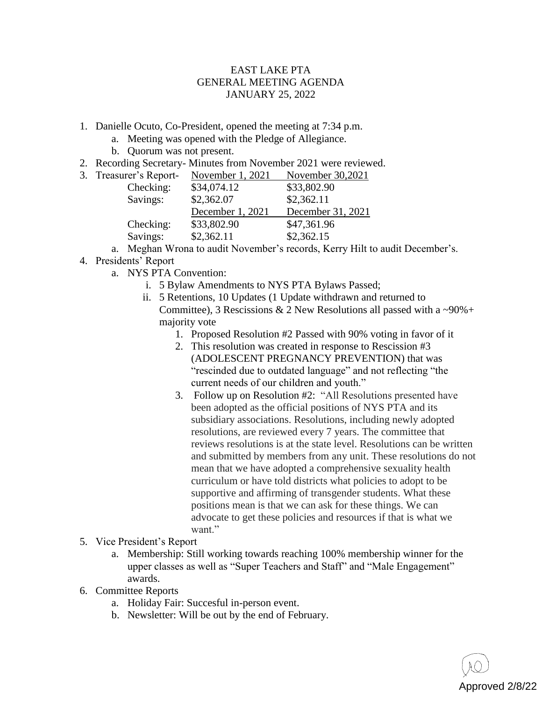## EAST LAKE PTA GENERAL MEETING AGENDA JANUARY 25, 2022

- 1. Danielle Ocuto, Co-President, opened the meeting at 7:34 p.m.
	- a. Meeting was opened with the Pledge of Allegiance.
	- b. Quorum was not present.
- 2. Recording Secretary- Minutes from November 2021 were reviewed.

| 3. Treasurer's Report- | November 1, 2021 | November 30,2021  |
|------------------------|------------------|-------------------|
| Checking:              | \$34,074.12      | \$33,802.90       |
| Savings:               | \$2,362.07       | \$2,362.11        |
|                        | December 1, 2021 | December 31, 2021 |
| Checking:              | \$33,802.90      | \$47,361.96       |
| Savings:               | \$2,362.11       | \$2,362.15        |

a. Meghan Wrona to audit November's records, Kerry Hilt to audit December's.

- 4. Presidents' Report
	- a. NYS PTA Convention:
		- i. 5 Bylaw Amendments to NYS PTA Bylaws Passed;
		- ii. 5 Retentions, 10 Updates (1 Update withdrawn and returned to Committee), 3 Rescissions & 2 New Resolutions all passed with a  $\sim 90\%$  + majority vote
			- 1. Proposed Resolution #2 Passed with 90% voting in favor of it
			- 2. This resolution was created in response to Rescission #3 (ADOLESCENT PREGNANCY PREVENTION) that was "rescinded due to outdated language" and not reflecting "the current needs of our children and youth."
			- 3. Follow up on Resolution #2: "All Resolutions presented have been adopted as the official positions of NYS PTA and its subsidiary associations. Resolutions, including newly adopted resolutions, are reviewed every 7 years. The committee that reviews resolutions is at the state level. Resolutions can be written and submitted by members from any unit. These resolutions do not mean that we have adopted a comprehensive sexuality health curriculum or have told districts what policies to adopt to be supportive and affirming of transgender students. What these positions mean is that we can ask for these things. We can advocate to get these policies and resources if that is what we want."
- 5. Vice President's Report
	- a. Membership: Still working towards reaching 100% membership winner for the upper classes as well as "Super Teachers and Staff" and "Male Engagement" awards.
- 6. Committee Reports
	- a. Holiday Fair: Succesful in-person event.
	- b. Newsletter: Will be out by the end of February.